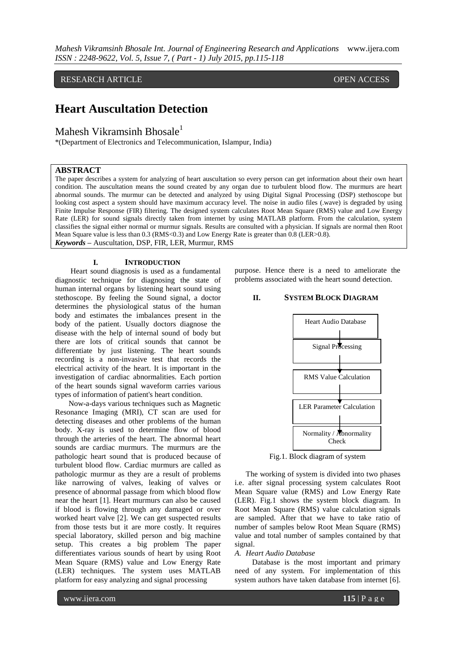RESEARCH ARTICLE OPEN ACCESS

# **Heart Auscultation Detection**

Mahesh Vikramsinh Bhosale<sup>1</sup>

\*(Department of Electronics and Telecommunication, Islampur, India)

## **ABSTRACT**

The paper describes a system for analyzing of heart auscultation so every person can get information about their own heart condition. The auscultation means the sound created by any organ due to turbulent blood flow. The murmurs are heart abnormal sounds. The murmur can be detected and analyzed by using Digital Signal Processing (DSP) stethoscope but looking cost aspect a system should have maximum accuracy level. The noise in audio files (.wave) is degraded by using Finite Impulse Response (FIR) filtering. The designed system calculates Root Mean Square (RMS) value and Low Energy Rate (LER) for sound signals directly taken from internet by using MATLAB platform. From the calculation, system classifies the signal either normal or murmur signals. Results are consulted with a physician. If signals are normal then Root Mean Square value is less than 0.3 (RMS<0.3) and Low Energy Rate is greater than 0.8 (LER>0.8). *Keywords* **–** Auscultation, DSP, FIR, LER, Murmur, RMS

#### **I. INTRODUCTION**

 Heart sound diagnosis is used as a fundamental diagnostic technique for diagnosing the state of human internal organs by listening heart sound using stethoscope. By feeling the Sound signal, a doctor determines the physiological status of the human body and estimates the imbalances present in the body of the patient. Usually doctors diagnose the disease with the help of internal sound of body but there are lots of critical sounds that cannot be differentiate by just listening. The heart sounds recording is a non-invasive test that records the electrical activity of the heart. It is important in the investigation of cardiac abnormalities. Each portion of the heart sounds signal waveform carries various types of information of patient's heart condition.

 Now-a-days various techniques such as Magnetic Resonance Imaging (MRI), CT scan are used for detecting diseases and other problems of the human body. X-ray is used to determine flow of blood through the arteries of the heart. The abnormal heart sounds are cardiac murmurs. The murmurs are the pathologic heart sound that is produced because of turbulent blood flow. Cardiac murmurs are called as pathologic murmur as they are a result of problems like narrowing of valves, leaking of valves or presence of abnormal passage from which blood flow near the heart [1]. Heart murmurs can also be caused if blood is flowing through any damaged or over worked heart valve [2]. We can get suspected results from those tests but it are more costly. It requires special laboratory, skilled person and big machine setup. This creates a big problem The paper differentiates various sounds of heart by using Root Mean Square (RMS) value and Low Energy Rate (LER) techniques. The system uses MATLAB platform for easy analyzing and signal processing

purpose. Hence there is a need to ameliorate the problems associated with the heart sound detection.

### **II. SYSTEM BLOCK DIAGRAM**



Fig.1. Block diagram of system

The working of system is divided into two phases i.e. after signal processing system calculates Root Mean Square value (RMS) and Low Energy Rate (LER). Fig.1 shows the system block diagram. In Root Mean Square (RMS) value calculation signals are sampled. After that we have to take ratio of number of samples below Root Mean Square (RMS) value and total number of samples contained by that sional.

### *A. Heart Audio Database*

 Database is the most important and primary need of any system. For implementation of this system authors have taken database from internet [6].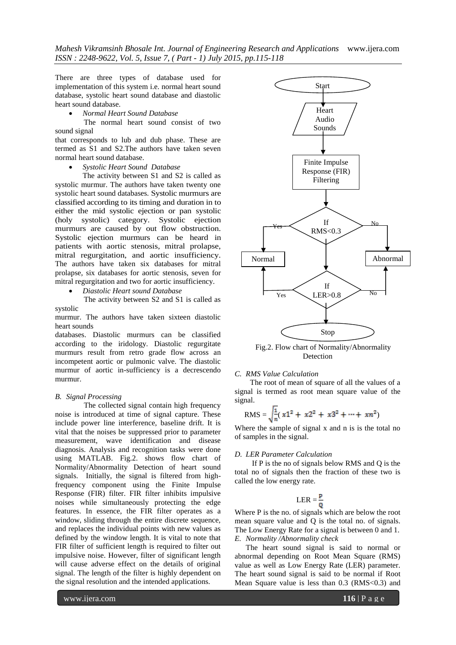*Mahesh Vikramsinh Bhosale Int. Journal of Engineering Research and Applications* www.ijera.com *ISSN : 2248-9622, Vol. 5, Issue 7, ( Part - 1) July 2015, pp.115-118*

There are three types of database used for implementation of this system i.e. normal heart sound database, systolic heart sound database and diastolic heart sound database.

*Normal Heart Sound Database*

 The normal heart sound consist of two sound signal

that corresponds to lub and dub phase. These are termed as S1 and S2.The authors have taken seven normal heart sound database.

*Systolic Heart Sound Database*

The activity between S1 and S2 is called as systolic murmur. The authors have taken twenty one systolic heart sound databases. Systolic murmurs are classified according to its timing and duration in to either the mid systolic ejection or pan systolic (holy systolic) category. Systolic ejection murmurs are caused by out flow obstruction. Systolic ejection murmurs can be heard in patients with aortic stenosis, mitral prolapse, mitral regurgitation, and aortic insufficiency. The authors have taken six databases for mitral prolapse, six databases for aortic stenosis, seven for mitral regurgitation and two for aortic insufficiency.

*Diastolic Heart sound Database*

 The activity between S2 and S1 is called as systolic

murmur. The authors have taken sixteen diastolic heart sounds

databases. Diastolic murmurs can be classified according to the iridology. Diastolic regurgitate murmurs result from retro grade flow across an incompetent aortic or pulmonic valve. The diastolic murmur of aortic in-sufficiency is a decrescendo murmur.

#### *B. Signal Processing*

 The collected signal contain high frequency noise is introduced at time of signal capture. These include power line interference, baseline drift. It is vital that the noises be suppressed prior to parameter measurement, wave identification and disease diagnosis. Analysis and recognition tasks were done using MATLAB. Fig.2. shows flow chart of Normality/Abnormality Detection of heart sound signals. Initially, the signal is filtered from highfrequency component using the Finite Impulse Response (FIR) filter. FIR filter inhibits impulsive noises while simultaneously protecting the edge features. In essence, the FIR filter operates as a window, sliding through the entire discrete sequence, and replaces the individual points with new values as defined by the window length. It is vital to note that FIR filter of sufficient length is required to filter out impulsive noise. However, filter of significant length will cause adverse effect on the details of original signal. The length of the filter is highly dependent on the signal resolution and the intended applications.

 $\overline{\phantom{1}}$ Yes Yes No No Stop Heart Audio Sounds Finite Impulse Response (FIR) Filtering If RMS<0.3 If  $LER > 0.8$ Normal **Abnormal** 

Start

Fig.2. Flow chart of Normality/Abnormality Detection

#### *C. RMS Value Calculation*

 The root of mean of square of all the values of a signal is termed as root mean square value of the signal.

RMS = 
$$
\sqrt{\frac{1}{n}} (x1^2 + x2^2 + x3^2 + \dots + xn^2)
$$

Where the sample of signal x and n is is the total no of samples in the signal.

#### *D. LER Parameter Calculation*

 If P is the no of signals below RMS and Q is the total no of signals then the fraction of these two is called the low energy rate.

$$
LER = \frac{P}{Q}
$$

Where P is the no. of signals which are below the root mean square value and Q is the total no. of signals. The Low Energy Rate for a signal is between 0 and 1. *E. Normality /Abnormality check* 

The heart sound signal is said to normal or abnormal depending on Root Mean Square (RMS) value as well as Low Energy Rate (LER) parameter. The heart sound signal is said to be normal if Root Mean Square value is less than 0.3 (RMS<0.3) and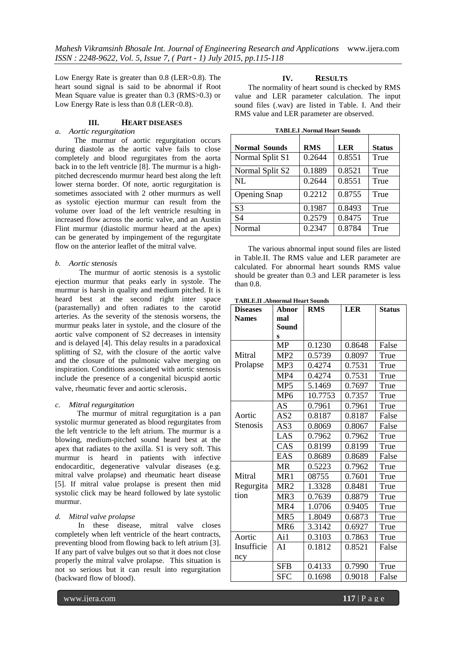Low Energy Rate is greater than 0.8 (LER>0.8). The heart sound signal is said to be abnormal if Root Mean Square value is greater than 0.3 (RMS>0.3) or Low Energy Rate is less than 0.8 (LER<0.8).

## **III. HEART DISEASES**

# *a. Aortic regurgitation*

 The murmur of aortic regurgitation occurs during diastole as the aortic valve fails to close completely and blood regurgitates from the aorta back in to the left ventricle [8]. The murmur is a highpitched decrescendo murmur heard best along the left lower sterna border. Of note, aortic regurgitation is sometimes associated with 2 other murmurs as well as systolic ejection murmur can result from the volume over load of the left ventricle resulting in increased flow across the aortic valve, and an Austin Flint murmur (diastolic murmur heard at the apex) can be generated by impingement of the regurgitate flow on the anterior leaflet of the mitral valve.

### *b. Aortic stenosis*

 The murmur of aortic stenosis is a systolic ejection murmur that peaks early in systole. The murmur is harsh in quality and medium pitched. It is heard best at the second right inter space (parasternally) and often radiates to the carotid arteries. As the severity of the stenosis worsens, the murmur peaks later in systole, and the closure of the aortic valve component of S2 decreases in intensity and is delayed [4]. This delay results in a paradoxical splitting of S2, with the closure of the aortic valve and the closure of the pulmonic valve merging on inspiration. Conditions associated with aortic stenosis include the presence of a congenital bicuspid aortic valve, rheumatic fever and aortic sclerosis.

## *c. Mitral regurgitation*

 The murmur of mitral regurgitation is a pan systolic murmur generated as blood regurgitates from the left ventricle to the left atrium. The murmur is a blowing, medium-pitched sound heard best at the apex that radiates to the axilla. S1 is very soft. This murmur is heard in patients with infective endocarditic, degenerative valvular diseases (e.g. mitral valve prolapse) and rheumatic heart disease [5]. If mitral value prolapse is present then mid systolic click may be heard followed by late systolic murmur.

## *d. Mitral valve prolapse*

 In these disease, mitral valve closes completely when left ventricle of the heart contracts, preventing blood from flowing back to left atrium [3]. If any part of valve bulges out so that it does not close properly the mitral valve prolapse. This situation is not so serious but it can result into regurgitation (backward flow of blood).

# **IV. RESULTS**

 The normality of heart sound is checked by RMS value and LER parameter calculation. The input sound files (.wav) are listed in Table. I. And their RMS value and LER parameter are observed.

| <b>TABLE.I .Normal Heart Sounds</b> |            |            |               |  |  |  |
|-------------------------------------|------------|------------|---------------|--|--|--|
| <b>Normal Sounds</b>                | <b>RMS</b> | <b>LER</b> | <b>Status</b> |  |  |  |
| Normal Split S1                     | 0.2644     | 0.8551     | True          |  |  |  |
| Normal Split S2                     | 0.1889     | 0.8521     | True          |  |  |  |
| NI.                                 | 0.2644     | 0.8551     | True          |  |  |  |
| <b>Opening Snap</b>                 | 0.2212     | 0.8755     | True          |  |  |  |
| S <sub>3</sub>                      | 0.1987     | 0.8493     | True          |  |  |  |
| S4                                  | 0.2579     | 0.8475     | True          |  |  |  |
| Normal                              | 0.2347     | 0.8784     | True          |  |  |  |

 The various abnormal input sound files are listed in Table.II. The RMS value and LER parameter are calculated. For abnormal heart sounds RMS value should be greater than 0.3 and LER parameter is less than 0.8.

#### **TABLE.II .Abnormal Heart Sounds**

| <b>Diseases</b> | Abnor           | <b>RMS</b> | <b>LER</b> | <b>Status</b> |
|-----------------|-----------------|------------|------------|---------------|
| <b>Names</b>    | mal             |            |            |               |
|                 | Sound           |            |            |               |
|                 | S               |            |            |               |
|                 | <b>MP</b>       | 0.1230     | 0.8648     | False         |
| Mitral          | MP <sub>2</sub> | 0.5739     | 0.8097     | True          |
| Prolapse        | MP3             | 0.4274     | 0.7531     | True          |
|                 | MP4             | 0.4274     | 0.7531     | True          |
|                 | MP <sub>5</sub> | 5.1469     | 0.7697     | True          |
|                 | MP <sub>6</sub> | 10.7753    | 0.7357     | True          |
|                 | <b>AS</b>       | 0.7961     | 0.7961     | True          |
| Aortic          | AS2             | 0.8187     | 0.8187     | False         |
| <b>Stenosis</b> | AS3             | 0.8069     | 0.8067     | False         |
|                 | LAS             | 0.7962     | 0.7962     | True          |
|                 | CAS             | 0.8199     | 0.8199     | True          |
|                 | EAS             | 0.8689     | 0.8689     | False         |
|                 | <b>MR</b>       | 0.5223     | 0.7962     | True          |
| Mitral          | MR1             | 08755      | 0.7601     | True          |
| Regurgita       | MR <sub>2</sub> | 1.3328     | 0.8481     | True          |
| tion            | MR3             | 0.7639     | 0.8879     | True          |
|                 | MR4             | 1.0706     | 0.9405     | True          |
|                 | MR5             | 1.8049     | 0.6873     | True          |
|                 | MR <sub>6</sub> | 3.3142     | 0.6927     | True          |
| Aortic          | Ai1             | 0.3103     | 0.7863     | True          |
| Insufficie      | AI              | 0.1812     | 0.8521     | False         |
| ncy             |                 |            |            |               |
|                 | <b>SFB</b>      | 0.4133     | 0.7990     | True          |
|                 | <b>SFC</b>      | 0.1698     | 0.9018     | False         |